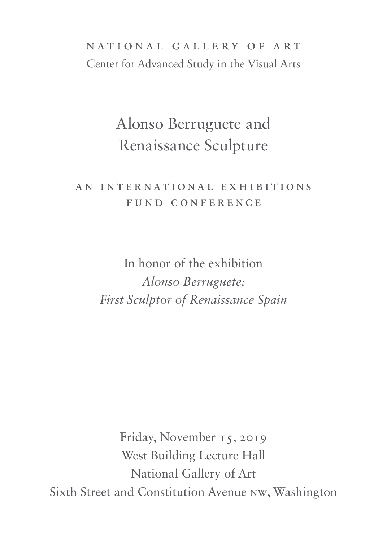## national gallery of art Center for Advanced Study in the Visual Arts

# Alonso Berruguete and Renaissance Sculpture

### A N I N T E R N AT ION A L E X H I BI T ION S FUND CONFERENCE

In honor of the exhibition *Alonso Berruguete: First Sculptor of Renaissance Spain*

Friday, November 15, 2019 West Building Lecture Hall National Gallery of Art Sixth Street and Constitution Avenue NW, Washington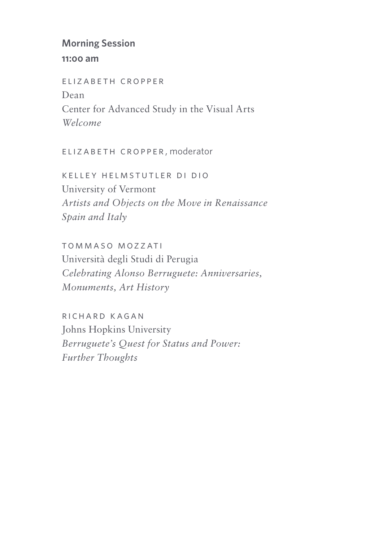#### **Morning Session**

#### **11:00 am**

elizabeth cropper Dean Center for Advanced Study in the Visual Arts *Welcome*

elizabeth cropper, moderator

kelley helmstutler di dio University of Vermont *Artists and Objects on the Move in Renaissance Spain and Italy*

tommaso mozzati Università degli Studi di Perugia *Celebrating Alonso Berruguete: Anniversaries, Monuments, Art History*

richard kagan Johns Hopkins University *Berruguete's Quest for Status and Power: Further Thoughts*